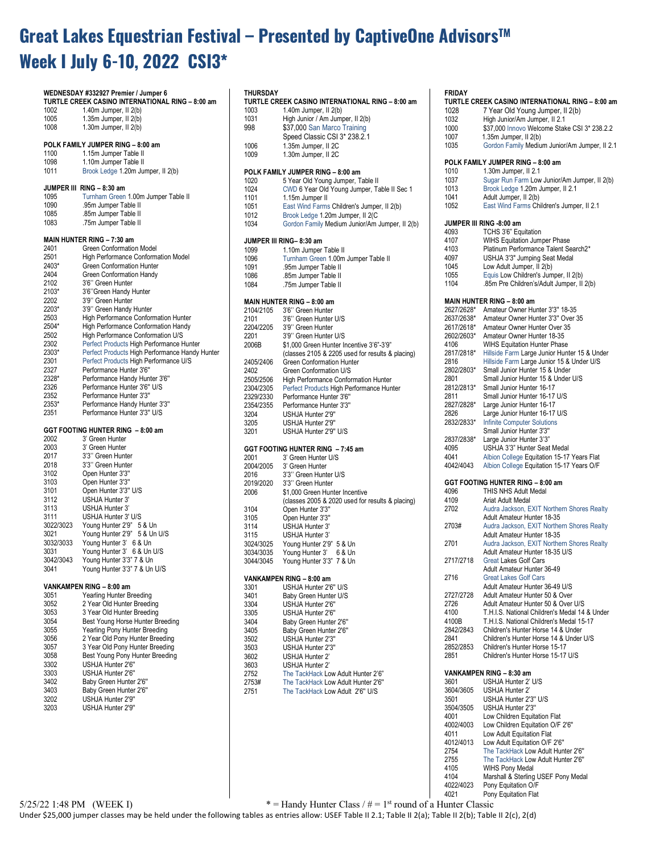# **Great Lakes Equestrian Festival – Presented by CaptiveOne AdvisorsTM Week I July 6-10, 2022 CSI3\***

|               | WEDNESDAY #332927 Premier / Jumper 6<br>TURTLE CREEK CASINO INTERNATIONAL RING - 8:00 am | т<br>т              |
|---------------|------------------------------------------------------------------------------------------|---------------------|
| 1002          | 1.40 $m$ Jumper, II $2(b)$                                                               | $\mathbf{1}$        |
| 1005<br>1008  | $1.35m$ Jumper, $II$ $2(b)$                                                              | 1<br>9              |
|               | 1.30m Jumper, II 2(b)                                                                    |                     |
|               | POLK FAMILY JUMPER RING - 8:00 am                                                        | 1                   |
| 1100          | 1.15m Jumper Table II                                                                    | 1                   |
| 1098          | 1.10m Jumper Table II                                                                    |                     |
| 1011          | Brook Ledge 1.20m Jumper, II 2(b)                                                        | Ρ                   |
|               |                                                                                          | 1                   |
|               | JUMPER III RING - 8:30 am                                                                | 1                   |
| 1095<br>1090  | Turnham Green 1.00m Jumper Table II                                                      | 1                   |
| 1085          | .95m Jumper Table II<br>.85m Jumper Table II                                             | 1                   |
| 1083          | .75m Jumper Table II                                                                     | 1<br>1              |
|               |                                                                                          |                     |
|               | MAIN HUNTER RING - 7:30 am                                                               | J                   |
| 2401          | Green Conformation Model                                                                 | 1                   |
| 2501          | High Performance Conformation Model                                                      | 1                   |
| 2403*         | Green Conformation Hunter                                                                | 1                   |
| 2404<br>2102  | Green Conformation Handy<br>3'6" Green Hunter                                            | 1                   |
| 2103*         | 3'6" Green Handy Hunter                                                                  | 11                  |
| 2202          | 3'9" Green Hunter                                                                        | N                   |
| 2203*         | 3'9" Green Handy Hunter                                                                  | 2                   |
| 2503          | High Performance Conformation Hunter                                                     | $\overline{2}$      |
| 2504*         | High Performance Conformation Handy                                                      | $2^{\circ}$         |
| 2502          | High Performance Conformation U/S                                                        | 2                   |
| 2302          | Perfect Products High Performance Hunter                                                 | 21                  |
| 2303*<br>2301 | Perfect Products High Performance Handy Hunter<br>Perfect Products High Performance U/S  |                     |
| 2327          | Performance Hunter 3'6"                                                                  | 2<br>2 <sub>0</sub> |
| 2328*         | Performance Handy Hunter 3'6"                                                            | $\overline{2}$      |
| 2326          | Performance Hunter 3'6" U/S                                                              | 2                   |
| 2352          | Performance Hunter 3'3"                                                                  | 2                   |
| 2353*         | Performance Handy Hunter 3'3"                                                            | 2                   |
| 2351          | Performance Hunter 3'3" U/S                                                              | 3.                  |
|               | GGT FOOTING HUNTER RING - 8:00 am                                                        | 3.                  |
| 2002          | 3' Green Hunter                                                                          | 3.                  |
| 2003          | 3' Green Hunter                                                                          | G                   |
| 2017          | 3'3" Green Hunter                                                                        | 21                  |
| 2018          | 3'3" Green Hunter                                                                        | 21                  |
| 3102          | Open Hunter 3'3"                                                                         | $\overline{2}$      |
| 3103          | Open Hunter 3'3"                                                                         | $\overline{2}$      |
| 3101<br>3112  | Open Hunter 3'3" U/S<br>USHJA Hunter 3'                                                  | 21                  |
| 3113          | USHJA Hunter 3'                                                                          |                     |
| 3111          | USHJA Hunter 3' U/S                                                                      | 3<br>3              |
| 3022/3023     | Young Hunter 2'9" 5 & Un                                                                 | 3                   |
| 3021          | Young Hunter 2'9" 5 & Un U/S                                                             | 3                   |
| 3032/3033     | Young Hunter 3' 6 & Un                                                                   | 31                  |
| 3031          | Young Hunter 3' 6 & Un U/S                                                               | 31                  |
| 3042/3043     | Young Hunter 3'3" 7 & Un                                                                 | 31                  |
| 3041          | Young Hunter 3'3" 7 & Un U/S                                                             | ۷                   |
|               | VANKAMPEN RING - 8:00 am                                                                 | 3.                  |
| 3051          | Yearling Hunter Breeding                                                                 | 3,                  |
| 3052          | 2 Year Old Hunter Breeding                                                               | 3                   |
| 3053          | 3 Year Old Hunter Breeding                                                               | 3.                  |
| 3054          | Best Young Horse Hunter Breeding                                                         | 3,                  |
| 3055          | Yearling Pony Hunter Breeding                                                            | 3                   |
| 3056<br>3057  | 2 Year Old Pony Hunter Breeding<br>3 Year Old Pony Hunter Breeding                       | 3<br>3              |
| 3058          | Best Young Pony Hunter Breeding                                                          | 31                  |
| 3302          | USHJA Hunter 2'6"                                                                        | 31                  |
| 3303          | USHJA Hunter 2'6"                                                                        | 2                   |
| 3402          | Baby Green Hunter 2'6"                                                                   | 2                   |
| 3403          | Baby Green Hunter 2'6"                                                                   | $\overline{2}$      |
| 3202          | USHJA Hunter 2'9"                                                                        |                     |
| 3203          | USHJA Hunter 2'9"                                                                        |                     |

| THURSDAY  |                                                  |
|-----------|--------------------------------------------------|
|           |                                                  |
|           | TURTLE CREEK CASINO INTERNATIONAL RING - 8:00 am |
| 1003      |                                                  |
|           | 1.40 $m$ Jumper, II $2(b)$                       |
| 1031      | High Junior / Am Jumper, II 2(b)                 |
| 998       | \$37,000 San Marco Training                      |
|           | Speed Classic CSI 3* 238.2.1                     |
| 1006      | 1.35m Jumper, II 2C                              |
| 1009      | 1.30m Jumper, II 2C                              |
|           |                                                  |
|           |                                                  |
|           | POLK FAMILY JUMPER RING - 8:00 am                |
| 1020      | 5 Year Old Young Jumper, Table II                |
| 1024      | CWD 6 Year Old Young Jumper, Table II Sec 1      |
| 1101      | 1.15m Jumper II                                  |
| 1051      | East Wind Farms Children's Jumper, II 2(b)       |
| 1012      | Brook Ledge 1.20m Jumper, II 2(C                 |
| 1034      | Gordon Family Medium Junior/Am Jumper, II 2(b)   |
|           |                                                  |
|           |                                                  |
|           | JUMPER III RING-8:30 am                          |
| 1099      | 1.10m Jumper Table II                            |
| 1096      | Turnham Green 1.00m Jumper Table II              |
| 1091      | .95m Jumper Table II                             |
| 1086      | .85m Jumper Table II                             |
| 1084      | .75m Jumper Table II                             |
|           |                                                  |
|           |                                                  |
|           | MAIN HUNTER RING - 8:00 am                       |
| 2104/2105 | 3'6" Green Hunter                                |
| 2101      | 3'6" Green Hunter U/S                            |
| 2204/2205 | 3'9" Green Hunter                                |
| 2201      | 3'9" Green Hunter U/S                            |
| 2006B     | \$1,000 Green Hunter Incentive 3'6"-3'9"         |
|           | (classes 2105 & 2205 used for results & placing) |
| 2405/2406 | Green Conformation Hunter                        |
|           |                                                  |
| 2402      | Green Conformation U/S                           |
| 2505/2506 | High Performance Conformation Hunter             |
| 2304/2305 | Perfect Products High Performance Hunter         |
| 2329/2330 | Performance Hunter 3'6"                          |
| 2354/2355 | Performance Hunter 3'3"                          |
| 3204      | USHJA Hunter 2'9"                                |
| 3205      | USHJA Hunter 2'9"                                |
|           |                                                  |
| 3201      | USHJA Hunter 2'9" U/S                            |
|           |                                                  |
|           | GGT FOOTING HUNTER RING - 7:45 am                |
| 2001      | 3' Green Hunter U/S                              |
| 2004/2005 | 3' Green Hunter                                  |
|           |                                                  |
|           |                                                  |
| 2016      | 3'3" Green Hunter U/S                            |
| 2019/2020 | 3'3" Green Hunter                                |
| 2006      | \$1,000 Green Hunter Incentive                   |
|           | (classes 2005 & 2020 used for results & placing) |
| 3104      | Open Hunter 3'3"                                 |
| 3105      | Open Hunter 3'3"                                 |
| 3114      | <b>USHJA Hunter 3'</b>                           |
|           |                                                  |
| 3115      | USHJA Hunter 3'                                  |
| 3024/3025 | Young Hunter 2'9" 5 & Un                         |
| 3034/3035 | Young Hunter 3'<br>6 & Un                        |
| 3044/3045 | Young Hunter 3'3" 7 & Un                         |
|           |                                                  |
|           | VANKAMPEN RING - 8:00 am                         |
| 3301      | USHJA Hunter 2'6" U/S                            |
| 3401      | Baby Green Hunter U/S                            |
|           |                                                  |
| 3304      | USHJA Hunter 2'6"                                |
| 3305      | USHJA Hunter 2'6"                                |
| 3404      | Baby Green Hunter 2'6"                           |
| 3405      | Baby Green Hunter 2'6"                           |
| 3502      | USHJA Hunter 2'3"                                |
| 3503      | USHJA Hunter 2'3"                                |
| 3602      | USHJA Hunter 2"                                  |
| 3603      | USHJA Hunter 2"                                  |
|           |                                                  |
| 2752      | The TackHack Low Adult Hunter 2'6"               |
| 2753#     | The TackHack Low Adult Hunter 2'6"               |
| 2751      | The TackHack Low Adult 2'6" U/S                  |
|           |                                                  |
|           |                                                  |
|           |                                                  |

## **FRIDAY**

| .             | TURTLE CREEK CASINO INTERNATIONAL RING – 8:00 am |
|---------------|--------------------------------------------------|
| 1028          | 7 Year Old Young Jumper, II 2(b)                 |
| 1032          | High Junior/Am Jumper, II 2.1                    |
| 1000          | \$37,000 Innovo Welcome Stake CSI 3* 238.2.2     |
| 1007          | 1.35m Jumper, II 2(b)                            |
| 1035          | Gordon Family Medium Junior/Am Jumper, II 2.1    |
|               | POLK FAMILY JUMPER RING - 8:00 am                |
| 1010          | 1.30m Jumper, II 2.1                             |
| 1037          | Sugar Run Farm Low Junior/Am Jumper, II 2(b)     |
| 1013          | Brook Ledge 1.20m Jumper, II 2.1                 |
| 1041          | Adult Jumper, II 2(b)                            |
| 1052          | East Wind Farms Children's Jumper, II 2.1        |
|               |                                                  |
| 4093          | JUMPER III RING -8:00 am<br>TCHS 3'6" Equitation |
| 4107          | <b>WIHS Equitation Jumper Phase</b>              |
| 4103          | Platinum Performance Talent Search2*             |
| 4097          | USHJA 3'3" Jumping Seat Medal                    |
| 1045          | Low Adult Jumper, II 2(b)                        |
| 1055          | Equis Low Children's Jumper, II 2(b)             |
| 1104          | .85m Pre Children's/Adult Jumper, II 2(b)        |
|               |                                                  |
|               | MAIN HUNTER RING – 8:00 am                       |
| 2627/2628*    | Amateur Owner Hunter 3'3" 18-35                  |
| 2637/2638*    | Amateur Owner Hunter 3'3" Over 35                |
| 2617/2618*    | Amateur Owner Hunter Over 35                     |
| 2602/2603*    | Amateur Owner Hunter 18-35                       |
| 4106          | <b>WIHS Equitation Hunter Phase</b>              |
| 2817/2818*    | Hillside Farm Large Junior Hunter 15 & Under     |
| 2816          | Hillside Farm Large Junior 15 & Under U/S        |
| 2802/2803*    | Small Junior Hunter 15 & Under                   |
| 2801          | Small Junior Hunter 15 & Under U/S               |
| 2812/2813*    | Small Junior Hunter 16-17                        |
| 2811          | Small Junior Hunter 16-17 U/S                    |
| 2827/2828*    | Large Junior Hunter 16-17                        |
| 2826          | Large Junior Hunter 16-17 U/S                    |
| 2832/2833*    | <b>Infinite Computer Solutions</b>               |
|               | Small Junior Hunter 3'3"                         |
| 2837/2838*    | Large Junior Hunter 3'3"                         |
| 4095          | USHJA 3'3" Hunter Seat Medal                     |
| 4041          | Albion College Equitation 15-17 Years Flat       |
| 4042/4043     | Albion College Equitation 15-17 Years O/F        |
|               | GGT FOOTING HUNTER RING - 8:00 am                |
| 4096          | THIS NHS Adult Medal                             |
| 4109          | Ariat Adult Medal                                |
| 2702          | Audra Jackson, EXIT Northern Shores Realty       |
|               | Adult Amateur Hunter 18-35                       |
| 2703#         | Audra Jackson, EXIT Northern Shores Realty       |
|               | Adult Amateur Hunter 18-35                       |
| 2701          | Audra Jackson, EXIT Northern Shores Realty       |
|               | Adult Amateur Hunter 18-35 U/S                   |
| 2717/2718     | <b>Great Lakes Golf Cars</b>                     |
|               | Adult Amateur Hunter 36-49                       |
| 2716          | <b>Great Lakes Golf Cars</b>                     |
|               | Adult Amateur Hunter 36-49 U/S                   |
| 2727/2728     | Adult Amateur Hunter 50 & Over                   |
| 2726          | Adult Amateur Hunter 50 & Over U/S               |
| 4100          | T.H.I.S. National Children's Medal 14 & Under    |
| 4100B         | T.H.I.S. National Children's Medal 15-17         |
| 2842/2843     | Children's Hunter Horse 14 & Under               |
| 2841          | Children's Hunter Horse 14 & Under U/S           |
| 2852/2853     | Children's Hunter Horse 15-17                    |
| 2851          | Children's Hunter Horse 15-17 U/S                |
|               | VANKAMPEN RING - 8:30 am                         |
| 3601          | USHJA Hunter 2' U/S                              |
| 3604/3605     | USHJA Hunter 2"                                  |
| 3501          | USHJA Hunter 2'3" U/S                            |
| 3504/3505     | USHJA Hunter 2'3"                                |
| 4001          | Low Children Equitation Flat                     |
| 4002/4003     | Low Children Equitation O/F 2'6"                 |
| 4011          | Low Adult Equitation Flat                        |
| 4012/4013     | Low Adult Equitation O/F 2'6"                    |
| 2754          | The TackHack Low Adult Hunter 2'6"               |
| 2755          | The TackHack Low Adult Hunter 2'6"               |
| 4105          | <b>WIHS Pony Medal</b>                           |
| 4104          | Marshall & Sterling USEF Pony Medal              |
| 4022/4023     | Pony Equitation O/F                              |
| 4021          | Pony Equitation Flat                             |
| unter Classic |                                                  |